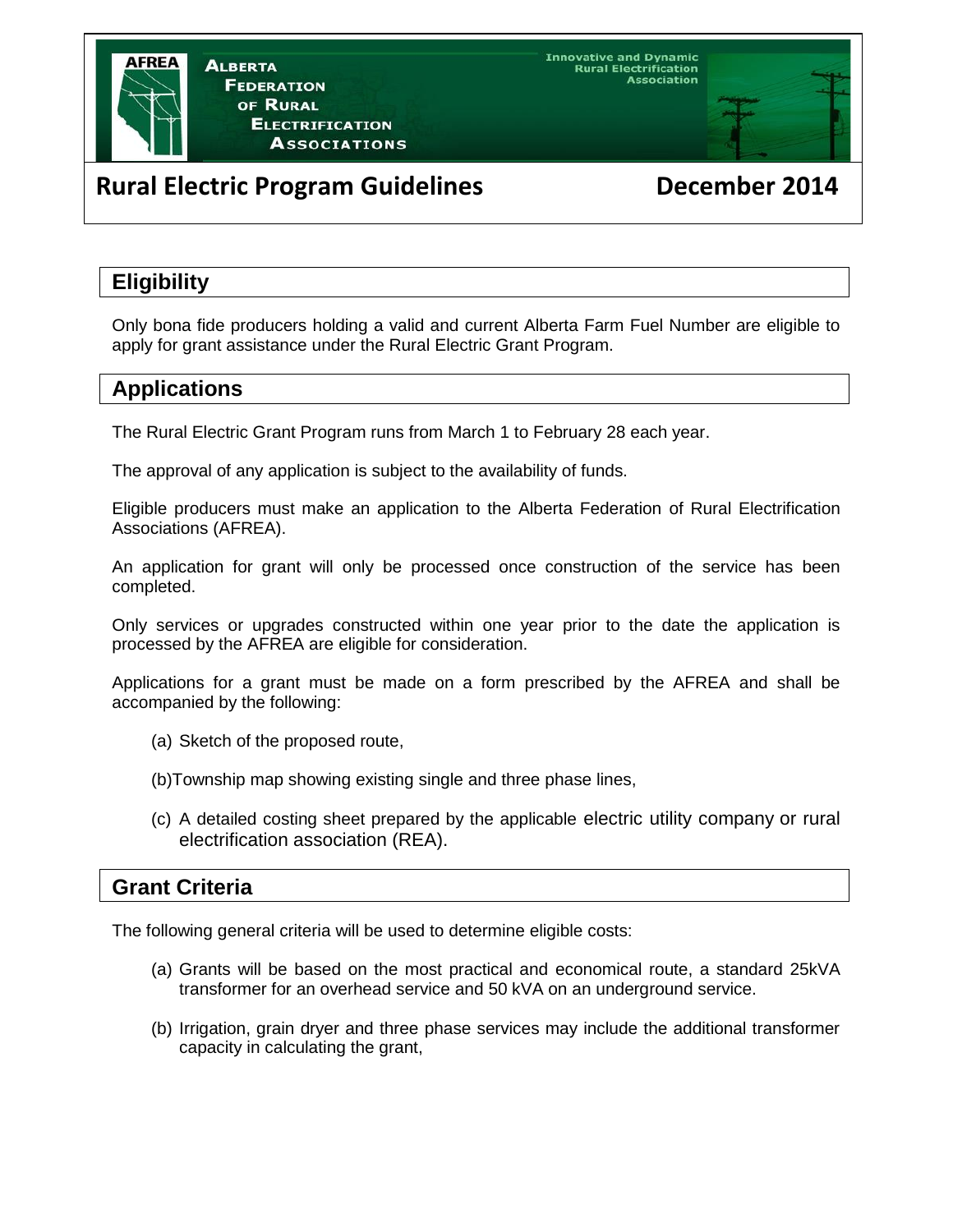# **[Rural Electric Program Guidelines](http://www.afrea.ab.ca/) December 2014**

 $\overline{\phantom{a}}$ 

# **Eligibility**

Only bona fide producers holding a valid and current Alberta Farm Fuel Number are eligible to apply for grant assistance under the Rural Electric Grant Program.

# **Applications**

The Rural Electric Grant Program runs from March 1 to February 28 each year.

The approval of any application is subject to the availability of funds.

Eligible producers must make an application to the Alberta Federation of Rural Electrification Associations (AFREA).

An application for grant will only be processed once construction of the service has been completed.

Only services or upgrades constructed within one year prior to the date the application is processed by the AFREA are eligible for consideration.

Applications for a grant must be made on a form prescribed by the AFREA and shall be accompanied by the following:

- (a) Sketch of the proposed route,
- (b)Township map showing existing single and three phase lines,
- (c) A detailed costing sheet prepared by the applicable electric utility company or rural electrification association (REA).

## **Grant Criteria**

The following general criteria will be used to determine eligible costs:

- (a) Grants will be based on the most practical and economical route, a standard 25kVA transformer for an overhead service and 50 kVA on an underground service.
- (b) Irrigation, grain dryer and three phase services may include the additional transformer capacity in calculating the grant,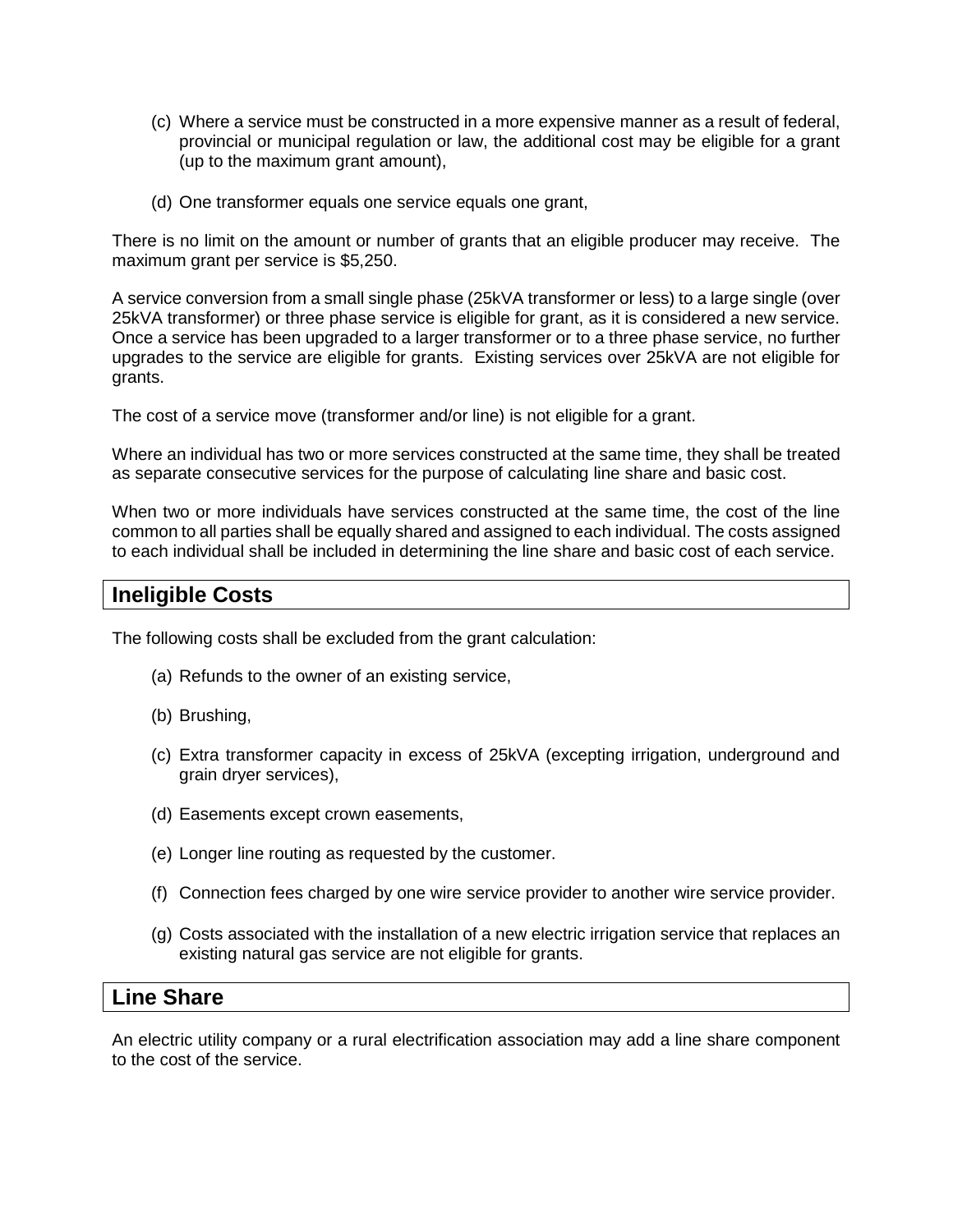- (c) Where a service must be constructed in a more expensive manner as a result of federal, provincial or municipal regulation or law, the additional cost may be eligible for a grant (up to the maximum grant amount),
- (d) One transformer equals one service equals one grant,

There is no limit on the amount or number of grants that an eligible producer may receive. The maximum grant per service is \$5,250.

A service conversion from a small single phase (25kVA transformer or less) to a large single (over 25kVA transformer) or three phase service is eligible for grant, as it is considered a new service. Once a service has been upgraded to a larger transformer or to a three phase service, no further upgrades to the service are eligible for grants. Existing services over 25kVA are not eligible for grants.

The cost of a service move (transformer and/or line) is not eligible for a grant.

Where an individual has two or more services constructed at the same time, they shall be treated as separate consecutive services for the purpose of calculating line share and basic cost.

When two or more individuals have services constructed at the same time, the cost of the line common to all parties shall be equally shared and assigned to each individual. The costs assigned to each individual shall be included in determining the line share and basic cost of each service.

## **Ineligible Costs**

The following costs shall be excluded from the grant calculation:

- (a) Refunds to the owner of an existing service,
- (b) Brushing,
- (c) Extra transformer capacity in excess of 25kVA (excepting irrigation, underground and grain dryer services),
- (d) Easements except crown easements,
- (e) Longer line routing as requested by the customer.
- (f) Connection fees charged by one wire service provider to another wire service provider.
- (g) Costs associated with the installation of a new electric irrigation service that replaces an existing natural gas service are not eligible for grants.

#### **Line Share**

An electric utility company or a rural electrification association may add a line share component to the cost of the service.